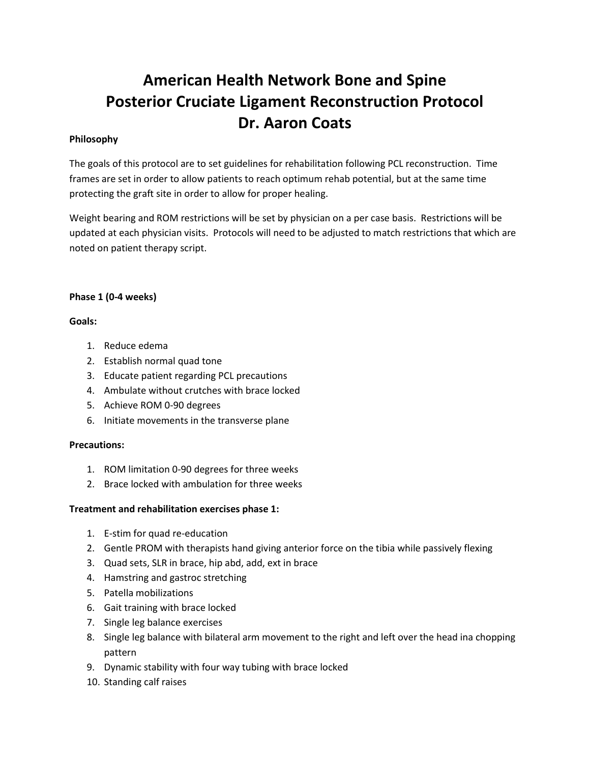# **American Health Network Bone and Spine Posterior Cruciate Ligament Reconstruction Protocol Dr. Aaron Coats**

# **Philosophy**

The goals of this protocol are to set guidelines for rehabilitation following PCL reconstruction. Time frames are set in order to allow patients to reach optimum rehab potential, but at the same time protecting the graft site in order to allow for proper healing.

Weight bearing and ROM restrictions will be set by physician on a per case basis. Restrictions will be updated at each physician visits. Protocols will need to be adjusted to match restrictions that which are noted on patient therapy script.

## **Phase 1 (0-4 weeks)**

## **Goals:**

- 1. Reduce edema
- 2. Establish normal quad tone
- 3. Educate patient regarding PCL precautions
- 4. Ambulate without crutches with brace locked
- 5. Achieve ROM 0-90 degrees
- 6. Initiate movements in the transverse plane

### **Precautions:**

- 1. ROM limitation 0-90 degrees for three weeks
- 2. Brace locked with ambulation for three weeks

### **Treatment and rehabilitation exercises phase 1:**

- 1. E-stim for quad re-education
- 2. Gentle PROM with therapists hand giving anterior force on the tibia while passively flexing
- 3. Quad sets, SLR in brace, hip abd, add, ext in brace
- 4. Hamstring and gastroc stretching
- 5. Patella mobilizations
- 6. Gait training with brace locked
- 7. Single leg balance exercises
- 8. Single leg balance with bilateral arm movement to the right and left over the head ina chopping pattern
- 9. Dynamic stability with four way tubing with brace locked
- 10. Standing calf raises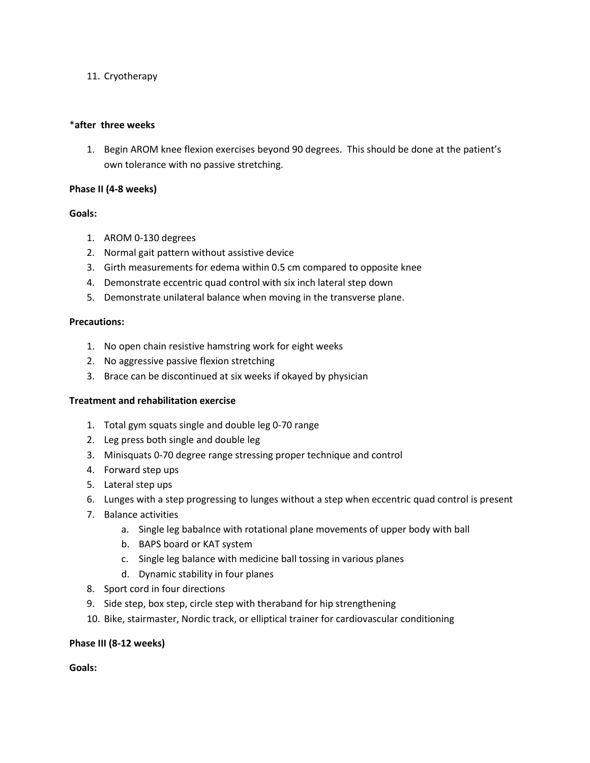## 11. Cryotherapy

#### \***after three weeks**

1. Begin AROM knee flexion exercises beyond 90 degrees. This should be done at the patient's own tolerance with no passive stretching.

#### **Phase II (4-8 weeks)**

### **Goals:**

- 1. AROM 0-130 degrees
- 2. Normal gait pattern without assistive device
- 3. Girth measurements for edema within 0.5 cm compared to opposite knee
- 4. Demonstrate eccentric quad control with six inch lateral step down
- 5. Demonstrate unilateral balance when moving in the transverse plane.

#### **Precautions:**

- 1. No open chain resistive hamstring work for eight weeks
- 2. No aggressive passive flexion stretching
- 3. Brace can be discontinued at six weeks if okayed by physician

### **Treatment and rehabilitation exercise**

- 1. Total gym squats single and double leg 0-70 range
- 2. Leg press both single and double leg
- 3. Minisquats 0-70 degree range stressing proper technique and control
- 4. Forward step ups
- 5. Lateral step ups
- 6. Lunges with a step progressing to lunges without a step when eccentric quad control is present
- 7. Balance activities
	- a. Single leg babalnce with rotational plane movements of upper body with ball
	- b. BAPS board or KAT system
	- c. Single leg balance with medicine ball tossing in various planes
	- d. Dynamic stability in four planes
- 8. Sport cord in four directions
- 9. Side step, box step, circle step with theraband for hip strengthening
- 10. Bike, stairmaster, Nordic track, or elliptical trainer for cardiovascular conditioning

### **Phase III (8-12 weeks)**

**Goals:**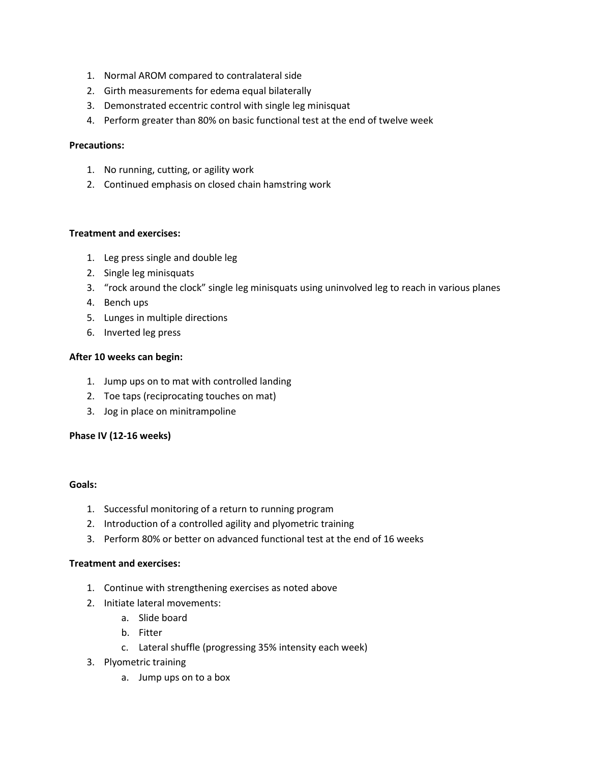- 1. Normal AROM compared to contralateral side
- 2. Girth measurements for edema equal bilaterally
- 3. Demonstrated eccentric control with single leg minisquat
- 4. Perform greater than 80% on basic functional test at the end of twelve week

#### **Precautions:**

- 1. No running, cutting, or agility work
- 2. Continued emphasis on closed chain hamstring work

# **Treatment and exercises:**

- 1. Leg press single and double leg
- 2. Single leg minisquats
- 3. "rock around the clock" single leg minisquats using uninvolved leg to reach in various planes
- 4. Bench ups
- 5. Lunges in multiple directions
- 6. Inverted leg press

### **After 10 weeks can begin:**

- 1. Jump ups on to mat with controlled landing
- 2. Toe taps (reciprocating touches on mat)
- 3. Jog in place on minitrampoline

### **Phase IV (12-16 weeks)**

### **Goals:**

- 1. Successful monitoring of a return to running program
- 2. Introduction of a controlled agility and plyometric training
- 3. Perform 80% or better on advanced functional test at the end of 16 weeks

### **Treatment and exercises:**

- 1. Continue with strengthening exercises as noted above
- 2. Initiate lateral movements:
	- a. Slide board
	- b. Fitter
	- c. Lateral shuffle (progressing 35% intensity each week)
- 3. Plyometric training
	- a. Jump ups on to a box